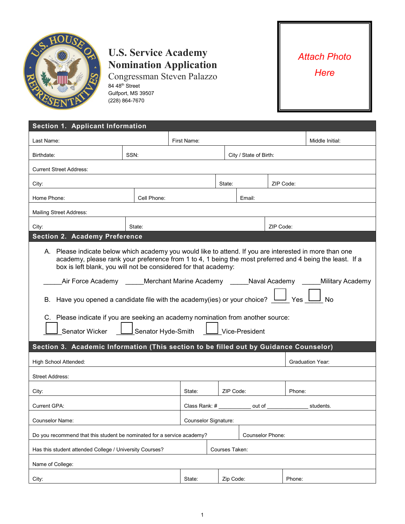

## **U.S. Service Academy Nomination Application**

Congressman Steven Palazzo 84 48<sup>th</sup> Street Gulfport, MS 39507 (228) 864-7670

## *Attach Photo Here*

| Section 1. Applicant Information                                                                                                                                                                                                                                                                                                                                                                                                                                                                                                                                                                                                     |             |                         |                             |                |           |                 |           |
|--------------------------------------------------------------------------------------------------------------------------------------------------------------------------------------------------------------------------------------------------------------------------------------------------------------------------------------------------------------------------------------------------------------------------------------------------------------------------------------------------------------------------------------------------------------------------------------------------------------------------------------|-------------|-------------------------|-----------------------------|----------------|-----------|-----------------|-----------|
| Last Name:                                                                                                                                                                                                                                                                                                                                                                                                                                                                                                                                                                                                                           | First Name: |                         |                             |                |           | Middle Initial: |           |
| Birthdate:                                                                                                                                                                                                                                                                                                                                                                                                                                                                                                                                                                                                                           |             | City / State of Birth:  |                             |                |           |                 |           |
| <b>Current Street Address:</b>                                                                                                                                                                                                                                                                                                                                                                                                                                                                                                                                                                                                       |             |                         |                             |                |           |                 |           |
| City:                                                                                                                                                                                                                                                                                                                                                                                                                                                                                                                                                                                                                                |             | State:                  |                             |                | ZIP Code: |                 |           |
| Home Phone:                                                                                                                                                                                                                                                                                                                                                                                                                                                                                                                                                                                                                          |             | Email:                  |                             |                |           |                 |           |
| <b>Mailing Street Address:</b>                                                                                                                                                                                                                                                                                                                                                                                                                                                                                                                                                                                                       |             |                         |                             |                |           |                 |           |
| State:<br>City:                                                                                                                                                                                                                                                                                                                                                                                                                                                                                                                                                                                                                      |             |                         | ZIP Code:                   |                |           |                 |           |
| <b>Section 2. Academy Preference</b>                                                                                                                                                                                                                                                                                                                                                                                                                                                                                                                                                                                                 |             |                         |                             |                |           |                 |           |
| A. Please indicate below which academy you would like to attend. If you are interested in more than one<br>academy, please rank your preference from 1 to 4, 1 being the most preferred and 4 being the least. If a<br>box is left blank, you will not be considered for that academy:<br>Air Force Academy ______ Merchant Marine Academy ______Naval Academy ______Military Academy<br>B. Have you opened a candidate file with the academy(ies) or your choice?<br>Yes<br>No<br>C. Please indicate if you are seeking an academy nomination from another source:<br>Senator Hyde-Smith<br>Vice-President<br><b>Senator Wicker</b> |             |                         |                             |                |           |                 |           |
| Section 3. Academic Information (This section to be filled out by Guidance Counselor)                                                                                                                                                                                                                                                                                                                                                                                                                                                                                                                                                |             |                         |                             |                |           |                 |           |
| High School Attended:<br><b>Graduation Year:</b>                                                                                                                                                                                                                                                                                                                                                                                                                                                                                                                                                                                     |             |                         |                             |                |           |                 |           |
| <b>Street Address:</b>                                                                                                                                                                                                                                                                                                                                                                                                                                                                                                                                                                                                               |             |                         |                             |                |           |                 |           |
| City:                                                                                                                                                                                                                                                                                                                                                                                                                                                                                                                                                                                                                                |             | State:                  |                             | ZIP Code:      |           |                 | Phone:    |
| Current GPA:                                                                                                                                                                                                                                                                                                                                                                                                                                                                                                                                                                                                                         |             | Class Rank: #           |                             | out of         |           |                 | students. |
| <b>Counselor Name:</b>                                                                                                                                                                                                                                                                                                                                                                                                                                                                                                                                                                                                               |             |                         | <b>Counselor Signature:</b> |                |           |                 |           |
| Do you recommend that this student be nominated for a service academy?                                                                                                                                                                                                                                                                                                                                                                                                                                                                                                                                                               |             | <b>Counselor Phone:</b> |                             |                |           |                 |           |
| Has this student attended College / University Courses?                                                                                                                                                                                                                                                                                                                                                                                                                                                                                                                                                                              |             |                         |                             | Courses Taken: |           |                 |           |
| Name of College:                                                                                                                                                                                                                                                                                                                                                                                                                                                                                                                                                                                                                     |             |                         |                             |                |           |                 |           |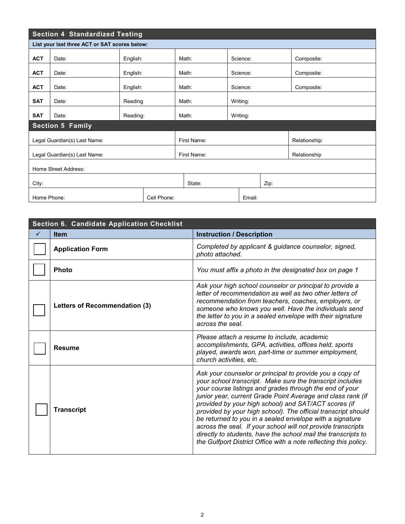| <b>Section 4 Standardized Testing</b>         |       |          |  |             |       |          |  |               |            |
|-----------------------------------------------|-------|----------|--|-------------|-------|----------|--|---------------|------------|
| List your last three ACT or SAT scores below: |       |          |  |             |       |          |  |               |            |
| <b>ACT</b>                                    | Date: | English: |  |             | Math: | Science: |  |               | Composite: |
| <b>ACT</b>                                    | Date: | English: |  |             | Math: | Science: |  |               | Composite: |
| <b>ACT</b>                                    | Date: | English: |  |             | Math: | Science: |  |               | Composite: |
| <b>SAT</b>                                    | Date: | Reading  |  |             | Math: | Writing: |  |               |            |
| <b>SAT</b>                                    | Date: | Reading: |  |             | Math: | Writing: |  |               |            |
| <b>Section 5 Family</b>                       |       |          |  |             |       |          |  |               |            |
| Legal Guardian(s) Last Name:                  |       |          |  | First Name: |       |          |  | Relationship: |            |
| Legal Guardian(s) Last Name:                  |       |          |  | First Name: |       |          |  | Relationship  |            |
| Home Street Address:                          |       |          |  |             |       |          |  |               |            |
| City:                                         |       |          |  | State:      |       | Zip:     |  |               |            |
| Home Phone:<br>Cell Phone:                    |       |          |  |             |       | Email:   |  |               |            |

| Section 6. Candidate Application Checklist |                               |                                                                                                                                                                                                                                                                                                                                                                                                                                                                                                                                                                                                                                           |  |  |  |  |  |
|--------------------------------------------|-------------------------------|-------------------------------------------------------------------------------------------------------------------------------------------------------------------------------------------------------------------------------------------------------------------------------------------------------------------------------------------------------------------------------------------------------------------------------------------------------------------------------------------------------------------------------------------------------------------------------------------------------------------------------------------|--|--|--|--|--|
| ✓                                          | <b>Item</b>                   | <b>Instruction / Description</b>                                                                                                                                                                                                                                                                                                                                                                                                                                                                                                                                                                                                          |  |  |  |  |  |
|                                            | <b>Application Form</b>       | Completed by applicant & guidance counselor, signed,<br>photo attached.                                                                                                                                                                                                                                                                                                                                                                                                                                                                                                                                                                   |  |  |  |  |  |
|                                            | <b>Photo</b>                  | You must affix a photo in the designated box on page 1                                                                                                                                                                                                                                                                                                                                                                                                                                                                                                                                                                                    |  |  |  |  |  |
|                                            | Letters of Recommendation (3) | Ask your high school counselor or principal to provide a<br>letter of recommendation as well as two other letters of<br>recommendation from teachers, coaches, employers, or<br>someone who knows you well. Have the individuals send<br>the letter to you in a sealed envelope with their signature<br>across the seal.                                                                                                                                                                                                                                                                                                                  |  |  |  |  |  |
|                                            | <b>Resume</b>                 | Please attach a resume to include, academic<br>accomplishments, GPA, activities, offices held, sports<br>played, awards won, part-time or summer employment,<br>church activities, etc.                                                                                                                                                                                                                                                                                                                                                                                                                                                   |  |  |  |  |  |
|                                            | <b>Transcript</b>             | Ask your counselor or principal to provide you a copy of<br>your school transcript. Make sure the transcript includes<br>your course listings and grades through the end of your<br>junior year, current Grade Point Average and class rank (if<br>provided by your high school) and SAT/ACT scores (if<br>provided by your high school). The official transcript should<br>be returned to you in a sealed envelope with a signature<br>across the seal. If your school will not provide transcripts<br>directly to students, have the school mail the transcripts to<br>the Gulfport District Office with a note reflecting this policy. |  |  |  |  |  |